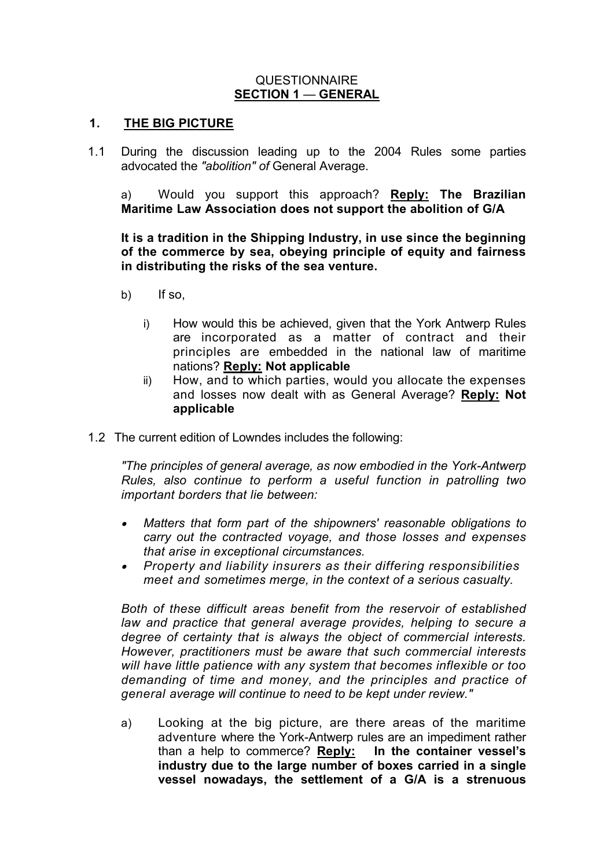#### QUESTIONNAIRE **SECTION 1** — **GENERAL**

#### **1. THE BIG PICTURE**

1.1 During the discussion leading up to the 2004 Rules some parties advocated the *"abolition" of* General Average.

a) Would you support this approach? **Reply: The Brazilian Maritime Law Association does not support the abolition of G/A**

**It is a tradition in the Shipping Industry, in use since the beginning of the commerce by sea, obeying principle of equity and fairness in distributing the risks of the sea venture.** 

- b) If so,
	- i) How would this be achieved, given that the York Antwerp Rules are incorporated as a matter of contract and their principles are embedded in the national law of maritime nations? **Reply: Not applicable**
	- ii) How, and to which parties, would you allocate the expenses and losses now dealt with as General Average? **Reply: Not applicable**
- 1.2 The current edition of Lowndes includes the following:

*"The principles of general average, as now embodied in the York-Antwerp Rules, also continue to perform a useful function in patrolling two important borders that lie between:*

- . *Matters that form part of the shipowners' reasonable obligations to carry out the contracted voyage, and those losses and expenses that arise in exceptional circumstances.*
- . *Property and liability insurers as their differing responsibilities meet and sometimes merge, in the context of a serious casualty.*

*Both of these difficult areas benefit from the reservoir of established law and practice that general average provides, helping to secure a degree of certainty that is always the object of commercial interests. However, practitioners must be aware that such commercial interests will have little patience with any system that becomes inflexible or too demanding of time and money, and the principles and practice of general average will continue to need to be kept under review."*

a) Looking at the big picture, are there areas of the maritime adventure where the York-Antwerp rules are an impediment rather than a help to commerce? **Reply: In the container vessel's industry due to the large number of boxes carried in a single vessel nowadays, the settlement of a G/A is a strenuous**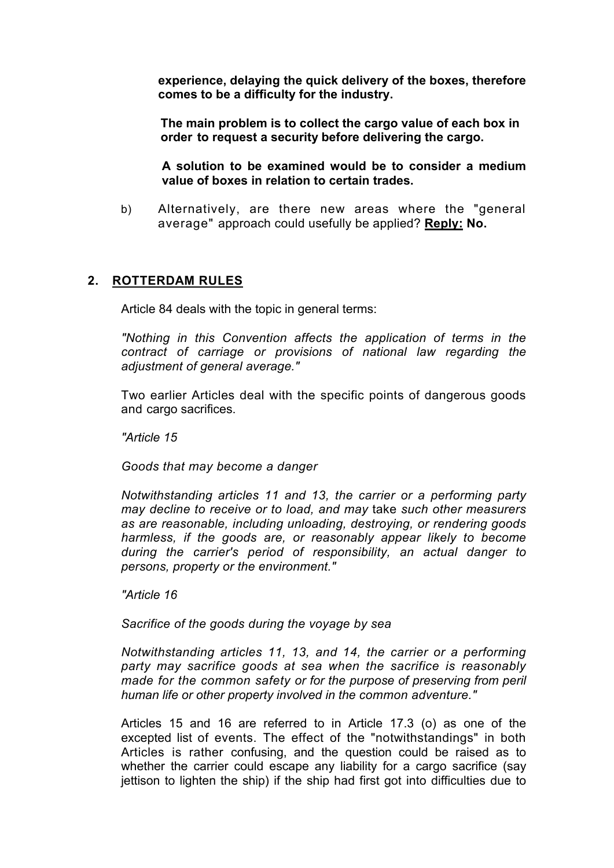**experience, delaying the quick delivery of the boxes, therefore comes to be a difficulty for the industry.** 

**The main problem is to collect the cargo value of each box in order to request a security before delivering the cargo.**

**A solution to be examined would be to consider a medium value of boxes in relation to certain trades.**

b) Alternatively, are there new areas where the "general average" approach could usefully be applied? **Reply: No.**

#### **2. ROTTERDAM RULES**

Article 84 deals with the topic in general terms:

*"Nothing in this Convention affects the application of terms in the contract of carriage or provisions of national law regarding the adjustment of general average."*

Two earlier Articles deal with the specific points of dangerous goods and cargo sacrifices.

*"Article 15*

*Goods that may become a danger*

*Notwithstanding articles 11 and 13, the carrier or a performing party may decline to receive or to load, and may* take *such other measurers as are reasonable, including unloading, destroying, or rendering goods harmless, if the goods are, or reasonably appear likely to become during the carrier's period of responsibility, an actual danger to persons, property or the environment."*

*"Article 16*

*Sacrifice of the goods during the voyage by sea*

*Notwithstanding articles 11, 13, and 14, the carrier or a performing party may sacrifice goods at sea when the sacrifice is reasonably made for the common safety or for the purpose of preserving from peril human life or other property involved in the common adventure."*

Articles 15 and 16 are referred to in Article 17.3 (o) as one of the excepted list of events. The effect of the "notwithstandings" in both Articles is rather confusing, and the question could be raised as to whether the carrier could escape any liability for a cargo sacrifice (say jettison to lighten the ship) if the ship had first got into difficulties due to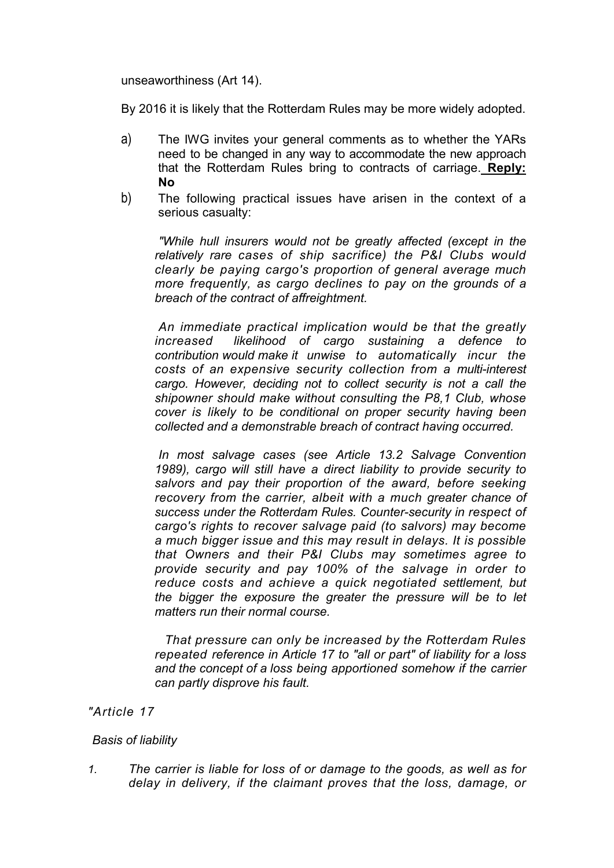unseaworthiness (Art 14).

By 2016 it is likely that the Rotterdam Rules may be more widely adopted.

- a) The IWG invites your general comments as to whether the YARs need to be changed in any way to accommodate the new approach that the Rotterdam Rules bring to contracts of carriage. **Reply: No**
- b) The following practical issues have arisen in the context of a serious casualty:

*"While hull insurers would not be greatly affected (except in the relatively rare cases of ship sacrifice) the P&I Clubs would clearly be paying cargo's proportion of general average much more frequently, as cargo declines to pay on the grounds of a breach of the contract of affreightment.*

*An immediate practical implication would be that the greatly increased likelihood of cargo sustaining a defence to contribution would make it unwise to automatically incur the costs of an expensive security collection from a multi-interest cargo. However, deciding not to collect security is not a call the shipowner should make without consulting the P8,1 Club, whose cover is likely to be conditional on proper security having been collected and a demonstrable breach of contract having occurred.*

*In most salvage cases (see Article 13.2 Salvage Convention 1989), cargo will still have a direct liability to provide security to salvors and pay their proportion of the award, before seeking recovery from the carrier, albeit with a much greater chance of success under the Rotterdam Rules. Counter-security in respect of cargo's rights to recover salvage paid (to salvors) may become a much bigger issue and this may result in delays. It is possible that Owners and their P&I Clubs may sometimes agree to provide security and pay 100% of the salvage in order to reduce costs and achieve a quick negotiated settlement, but the bigger the exposure the greater the pressure will be to let matters run their normal course.*

*That pressure can only be increased by the Rotterdam Rules repeated reference in Article 17 to "all or part" of liability for a loss and the concept of a loss being apportioned somehow if the carrier can partly disprove his fault.*

# *"Article 17*

#### *Basis of liability*

*1. The carrier is liable for loss of or damage to the goods, as well as for delay in delivery, if the claimant proves that the loss, damage, or*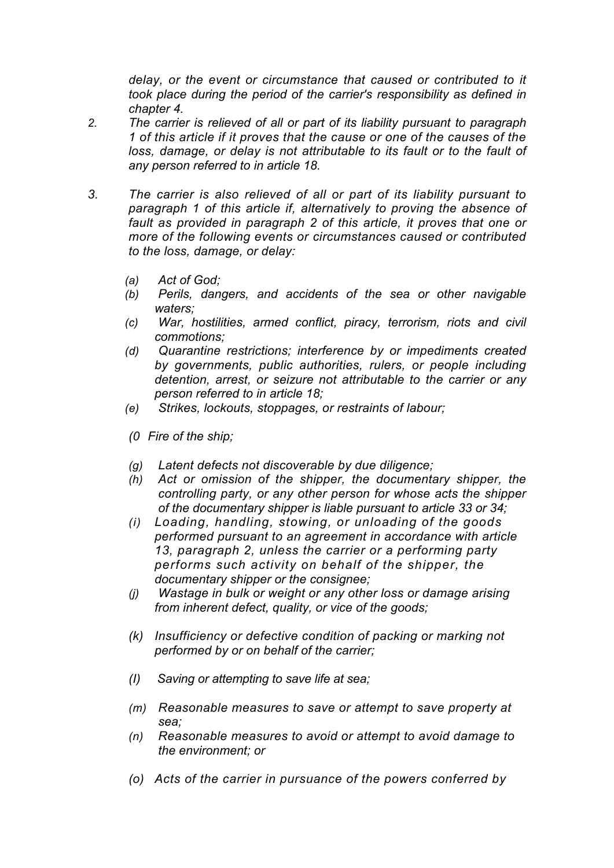delay, or the event or circumstance that caused or contributed to it *took place during the period of the carrier's responsibility as defined in chapter 4.*

- *2. The carrier is relieved of all or part of its liability pursuant to paragraph 1 of this article if it proves that the cause or one of the causes of the loss, damage, or delay is not attributable to its fault or to the fault of any person referred to in article 18.*
- *3. The carrier is also relieved of all or part of its liability pursuant to paragraph 1 of this article if, alternatively to proving the absence of fault as provided in paragraph 2 of this article, it proves that one or more of the following events or circumstances caused or contributed to the loss, damage, or delay:*
	- *(a) Act of God;*
	- *(b) Perils, dangers, and accidents of the sea or other navigable waters;*
	- *(c) War, hostilities, armed conflict, piracy, terrorism, riots and civil commotions;*
	- *(d) Quarantine restrictions; interference by or impediments created by governments, public authorities, rulers, or people including detention, arrest, or seizure not attributable to the carrier or any person referred to in article 18;*
	- *(e) Strikes, lockouts, stoppages, or restraints of labour;*
	- *(0 Fire of the ship;*
	- *(g) Latent defects not discoverable by due diligence;*
	- *(h) Act or omission of the shipper, the documentary shipper, the controlling party, or any other person for whose acts the shipper of the documentary shipper is liable pursuant to article 33 or 34;*
	- *(i) Loading, handling, stowing, or unloading of the goods performed pursuant to an agreement in accordance with article 13, paragraph 2, unless the carrier or a performing party performs such activity on behalf of the shipper, the documentary shipper or the consignee;*
	- *(j) Wastage in bulk or weight or any other loss or damage arising from inherent defect, quality, or vice of the goods;*
	- *(k) Insufficiency or defective condition of packing or marking not performed by or on behalf of the carrier;*
	- *(I) Saving or attempting to save life at sea;*
	- *(m) Reasonable measures to save or attempt to save property at sea;*
	- *(n) Reasonable measures to avoid or attempt to avoid damage to the environment; or*
	- *(o) Acts of the carrier in pursuance of the powers conferred by*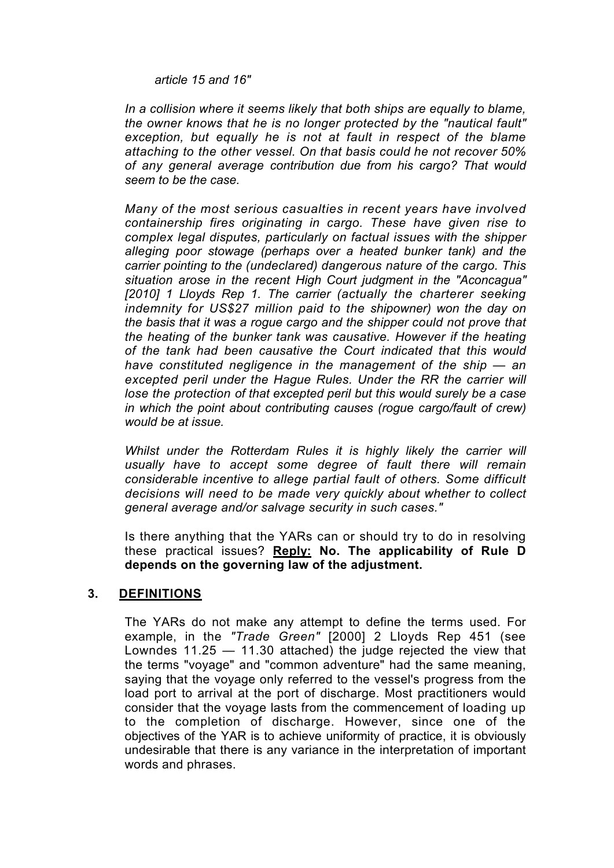*article 15 and 16"*

*In a collision where it seems likely that both ships are equally to blame, the owner knows that he is no longer protected by the "nautical fault" exception, but equally he is not at fault in respect of the blame attaching to the other vessel. On that basis could he not recover 50% of any general average contribution due from his cargo? That would seem to be the case.*

*Many of the most serious casualties in recent years have involved containership fires originating in cargo. These have given rise to complex legal disputes, particularly on factual issues with the shipper alleging poor stowage (perhaps over a heated bunker tank) and the carrier pointing to the (undeclared) dangerous nature of the cargo. This situation arose in the recent High Court judgment in the "Aconcagua"*  [2010] 1 Lloyds Rep 1. The carrier (actually the charterer seeking *indemnity for US\$27 million paid to the shipowner) won the day on the basis that it was a rogue cargo and the shipper could not prove that the heating of the bunker tank was causative. However if the heating of the tank had been causative the Court indicated that this would have constituted negligence in the management of the ship — an excepted peril under the Hague Rules. Under the RR the carrier will lose the protection of that excepted peril but this would surely be a case*  in which the point about contributing causes (roque cargo/fault of crew) *would be at issue.*

*Whilst under the Rotterdam Rules it is highly likely the carrier will usually have to accept some degree of fault there will remain considerable incentive to allege partial fault of others. Some difficult decisions will need to be made very quickly about whether to collect general average and/or salvage security in such cases."*

Is there anything that the YARs can or should try to do in resolving these practical issues? **Reply: No. The applicability of Rule D depends on the governing law of the adjustment.**

#### **3. DEFINITIONS**

The YARs do not make any attempt to define the terms used. For example, in the *"Trade Green"* [2000] 2 Lloyds Rep 451 (see Lowndes 11.25 — 11.30 attached) the judge rejected the view that the terms "voyage" and "common adventure" had the same meaning, saying that the voyage only referred to the vessel's progress from the load port to arrival at the port of discharge. Most practitioners would consider that the voyage lasts from the commencement of loading up to the completion of discharge. However, since one of the objectives of the YAR is to achieve uniformity of practice, it is obviously undesirable that there is any variance in the interpretation of important words and phrases.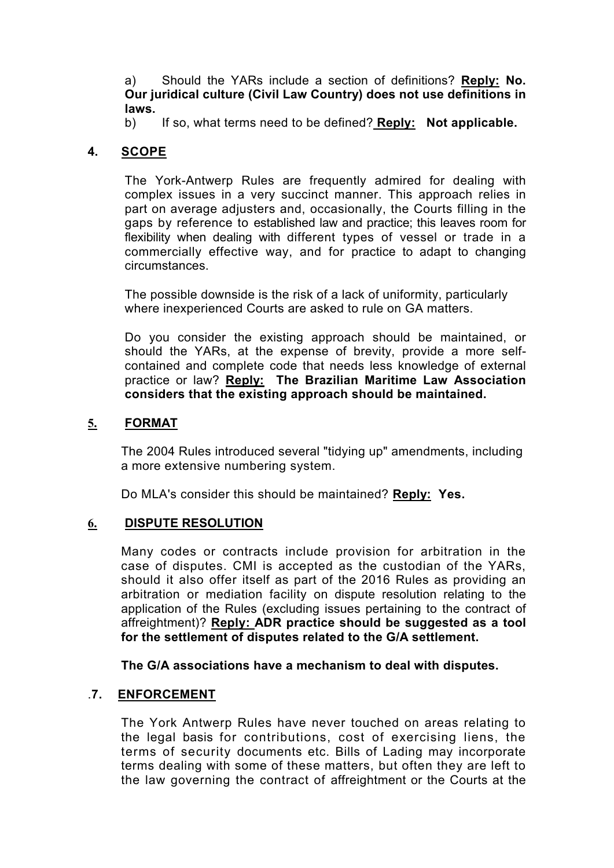a) Should the YARs include a section of definitions? **Reply: No. Our juridical culture (Civil Law Country) does not use definitions in laws.** 

b) If so, what terms need to be defined? **Reply: Not applicable.**

#### **4. SCOPE**

The York-Antwerp Rules are frequently admired for dealing with complex issues in a very succinct manner. This approach relies in part on average adjusters and, occasionally, the Courts filling in the gaps by reference to established law and practice; this leaves room for flexibility when dealing with different types of vessel or trade in a commercially effective way, and for practice to adapt to changing circumstances.

The possible downside is the risk of a lack of uniformity, particularly where inexperienced Courts are asked to rule on GA matters.

Do you consider the existing approach should be maintained, or should the YARs, at the expense of brevity, provide a more selfcontained and complete code that needs less knowledge of external practice or law? **Reply: The Brazilian Maritime Law Association considers that the existing approach should be maintained.**

#### **5. FORMAT**

The 2004 Rules introduced several "tidying up" amendments, including a more extensive numbering system.

Do MLA's consider this should be maintained? **Reply: Yes.** 

#### **6. DISPUTE RESOLUTION**

Many codes or contracts include provision for arbitration in the case of disputes. CMI is accepted as the custodian of the YARs, should it also offer itself as part of the 2016 Rules as providing an arbitration or mediation facility on dispute resolution relating to the application of the Rules (excluding issues pertaining to the contract of affreightment)? **Reply: ADR practice should be suggested as a tool for the settlement of disputes related to the G/A settlement.** 

**The G/A associations have a mechanism to deal with disputes.**

#### .**7. ENFORCEMENT**

The York Antwerp Rules have never touched on areas relating to the legal basis for contributions, cost of exercising liens, the terms of security documents etc. Bills of Lading may incorporate terms dealing with some of these matters, but often they are left to the law governing the contract of affreightment or the Courts at the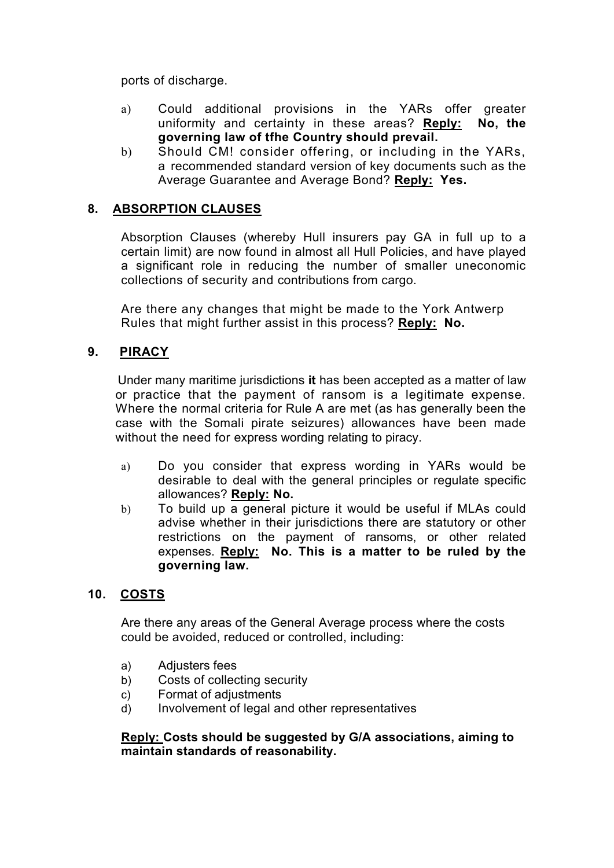ports of discharge.

- a) Could additional provisions in the YARs offer greater uniformity and certainty in these areas? **Reply: No, the governing law of tfhe Country should prevail.**
- b) Should CM! consider offering, or including in the YARs, a recommended standard version of key documents such as the Average Guarantee and Average Bond? **Reply: Yes.**

# **8. ABSORPTION CLAUSES**

Absorption Clauses (whereby Hull insurers pay GA in full up to a certain limit) are now found in almost all Hull Policies, and have played a significant role in reducing the number of smaller uneconomic collections of security and contributions from cargo.

Are there any changes that might be made to the York Antwerp Rules that might further assist in this process? **Reply: No.**

#### **9. PIRACY**

 Under many maritime jurisdictions **it** has been accepted as a matter of law or practice that the payment of ransom is a legitimate expense. Where the normal criteria for Rule A are met (as has generally been the case with the Somali pirate seizures) allowances have been made without the need for express wording relating to piracy.

- a) Do you consider that express wording in YARs would be desirable to deal with the general principles or regulate specific allowances? **Reply: No.**
- b) To build up a general picture it would be useful if MLAs could advise whether in their jurisdictions there are statutory or other restrictions on the payment of ransoms, or other related expenses. **Reply: No. This is a matter to be ruled by the governing law.**

# **10. COSTS**

Are there any areas of the General Average process where the costs could be avoided, reduced or controlled, including:

- a) Adjusters fees
- b) Costs of collecting security
- c) Format of adjustments
- d) Involvement of legal and other representatives

#### **Reply: Costs should be suggested by G/A associations, aiming to maintain standards of reasonability.**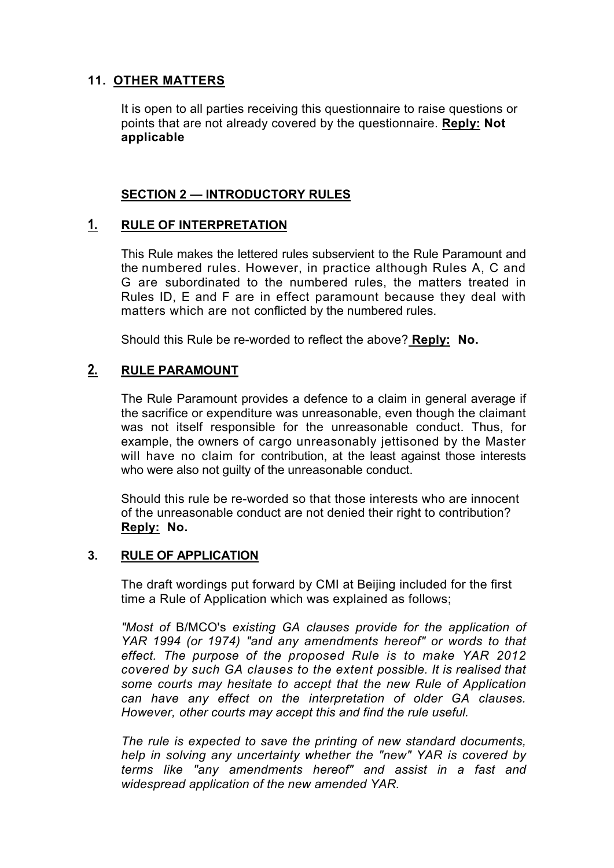# **11. OTHER MATTERS**

It is open to all parties receiving this questionnaire to raise questions or points that are not already covered by the questionnaire. **Reply: Not applicable**

### **SECTION 2 — INTRODUCTORY RULES**

# **1. RULE OF INTERPRETATION**

This Rule makes the lettered rules subservient to the Rule Paramount and the numbered rules. However, in practice although Rules A, C and G are subordinated to the numbered rules, the matters treated in Rules ID, E and F are in effect paramount because they deal with matters which are not conflicted by the numbered rules.

Should this Rule be re-worded to reflect the above? **Reply: No.**

# **2. RULE PARAMOUNT**

The Rule Paramount provides a defence to a claim in general average if the sacrifice or expenditure was unreasonable, even though the claimant was not itself responsible for the unreasonable conduct. Thus, for example, the owners of cargo unreasonably jettisoned by the Master will have no claim for contribution, at the least against those interests who were also not quilty of the unreasonable conduct.

Should this rule be re-worded so that those interests who are innocent of the unreasonable conduct are not denied their right to contribution? **Reply: No.**

#### **3. RULE OF APPLICATION**

The draft wordings put forward by CMI at Beijing included for the first time a Rule of Application which was explained as follows;

*"Most of* B/MCO's *existing GA clauses provide for the application of YAR 1994 (or 1974) "and any amendments hereof" or words to that effect. The purpose of the proposed Rule is to make YAR 2012 covered by such GA clauses to the extent possible. It is realised that some courts may hesitate to accept that the new Rule of Application can have any effect on the interpretation of older GA clauses. However, other courts may accept this and find the rule useful.*

*The rule is expected to save the printing of new standard documents, help in solving any uncertainty whether the "new" YAR is covered by terms like "any amendments hereof" and assist in a fast and widespread application of the new amended YAR.*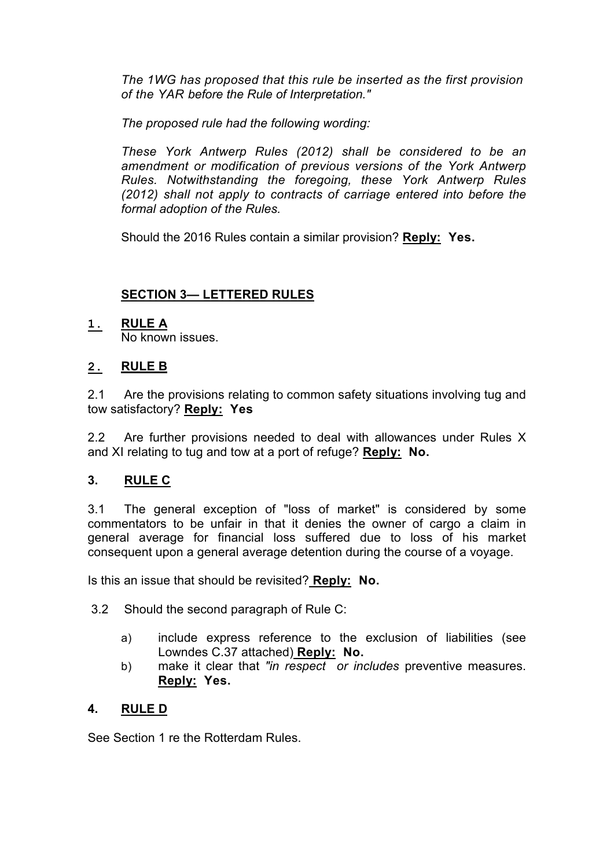*The 1WG has proposed that this rule be inserted as the first provision of the YAR before the Rule of Interpretation."*

*The proposed rule had the following wording:*

*These York Antwerp Rules (2012) shall be considered to be an amendment or modification of previous versions of the York Antwerp Rules. Notwithstanding the foregoing, these York Antwerp Rules (2012) shall not apply to contracts of carriage entered into before the formal adoption of the Rules.*

Should the 2016 Rules contain a similar provision? **Reply: Yes.**

# **SECTION 3— LETTERED RULES**

# **1. RULE A**

No known issues.

# **2. RULE B**

2.1 Are the provisions relating to common safety situations involving tug and tow satisfactory? **Reply: Yes**

2.2 Are further provisions needed to deal with allowances under Rules X and XI relating to tug and tow at a port of refuge? **Reply: No.**

# **3. RULE C**

3.1 The general exception of "loss of market" is considered by some commentators to be unfair in that it denies the owner of cargo a claim in general average for financial loss suffered due to loss of his market consequent upon a general average detention during the course of a voyage.

Is this an issue that should be revisited? **Reply: No.**

- 3.2 Should the second paragraph of Rule C:
	- a) include express reference to the exclusion of liabilities (see Lowndes C.37 attached) **Reply: No.**
	- b) make it clear that *"in respect or includes* preventive measures. **Reply: Yes.**

# **4. RULE D**

See Section 1 re the Rotterdam Rules.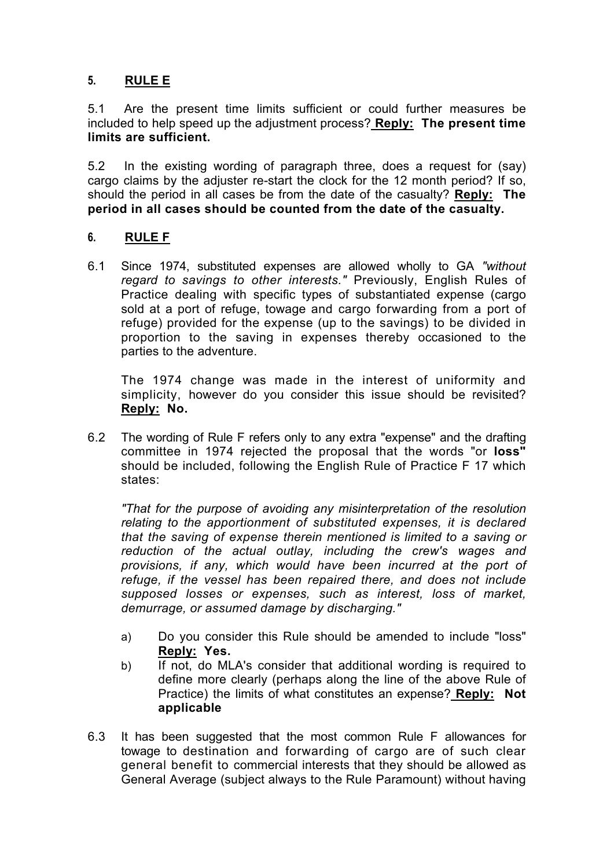# **5. RULE E**

5.1 Are the present time limits sufficient or could further measures be included to help speed up the adjustment process? **Reply: The present time limits are sufficient.**

5.2 In the existing wording of paragraph three, does a request for (say) cargo claims by the adjuster re-start the clock for the 12 month period? If so, should the period in all cases be from the date of the casualty? **Reply: The period in all cases should be counted from the date of the casualty.**

#### **6. RULE F**

6.1 Since 1974, substituted expenses are allowed wholly to GA *"without regard to savings to other interests."* Previously, English Rules of Practice dealing with specific types of substantiated expense (cargo sold at a port of refuge, towage and cargo forwarding from a port of refuge) provided for the expense (up to the savings) to be divided in proportion to the saving in expenses thereby occasioned to the parties to the adventure.

The 1974 change was made in the interest of uniformity and simplicity, however do you consider this issue should be revisited? **Reply: No.**

6.2 The wording of Rule F refers only to any extra "expense" and the drafting committee in 1974 rejected the proposal that the words "or **loss"**  should be included, following the English Rule of Practice F 17 which states:

*"That for the purpose of avoiding any misinterpretation of the resolution relating to the apportionment of substituted expenses, it is declared that the saving of expense therein mentioned is limited to a saving or reduction of the actual outlay, including the crew's wages and provisions, if any, which would have been incurred at the port of refuge, if the vessel has been repaired there, and does not include supposed losses or expenses, such as interest, loss of market, demurrage, or assumed damage by discharging."*

- a) Do you consider this Rule should be amended to include "loss" **Reply: Yes.**
- b) If not, do MLA's consider that additional wording is required to define more clearly (perhaps along the line of the above Rule of Practice) the limits of what constitutes an expense? **Reply: Not applicable**
- 6.3 It has been suggested that the most common Rule F allowances for towage to destination and forwarding of cargo are of such clear general benefit to commercial interests that they should be allowed as General Average (subject always to the Rule Paramount) without having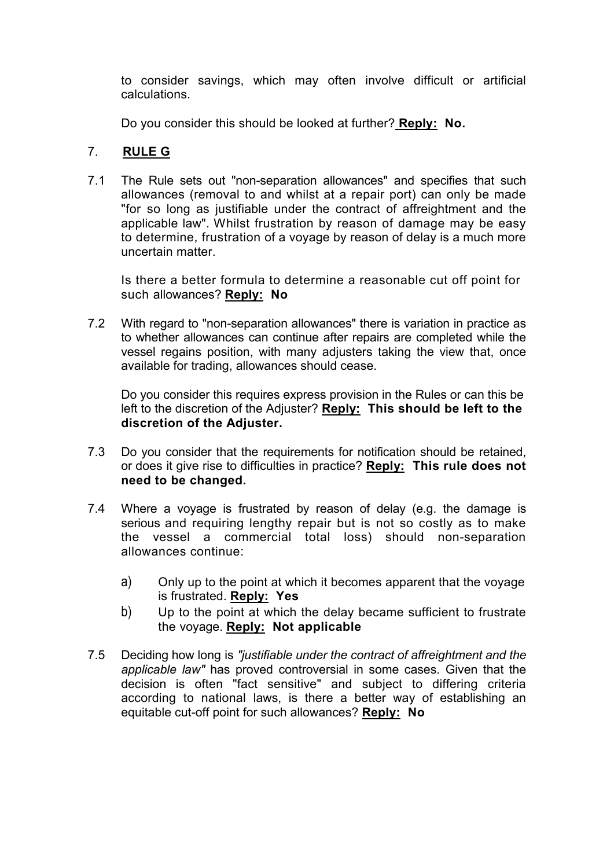to consider savings, which may often involve difficult or artificial calculations.

Do you consider this should be looked at further? **Reply: No.**

# 7. **RULE G**

7.1 The Rule sets out "non-separation allowances" and specifies that such allowances (removal to and whilst at a repair port) can only be made "for so long as justifiable under the contract of affreightment and the applicable law". Whilst frustration by reason of damage may be easy to determine, frustration of a voyage by reason of delay is a much more uncertain matter.

Is there a better formula to determine a reasonable cut off point for such allowances? **Reply: No**

7.2 With regard to "non-separation allowances" there is variation in practice as to whether allowances can continue after repairs are completed while the vessel regains position, with many adjusters taking the view that, once available for trading, allowances should cease.

Do you consider this requires express provision in the Rules or can this be left to the discretion of the Adjuster? **Reply: This should be left to the discretion of the Adjuster.**

- 7.3 Do you consider that the requirements for notification should be retained, or does it give rise to difficulties in practice? **Reply: This rule does not need to be changed.**
- 7.4 Where a voyage is frustrated by reason of delay (e.g. the damage is serious and requiring lengthy repair but is not so costly as to make the vessel a commercial total loss) should non-separation allowances continue:
	- a) Only up to the point at which it becomes apparent that the voyage is frustrated. **Reply: Yes**
	- b) Up to the point at which the delay became sufficient to frustrate the voyage. **Reply: Not applicable**
- 7.5 Deciding how long is *"justifiable under the contract of affreightment and the applicable law"* has proved controversial in some cases. Given that the decision is often "fact sensitive" and subject to differing criteria according to national laws, is there a better way of establishing an equitable cut-off point for such allowances? **Reply: No**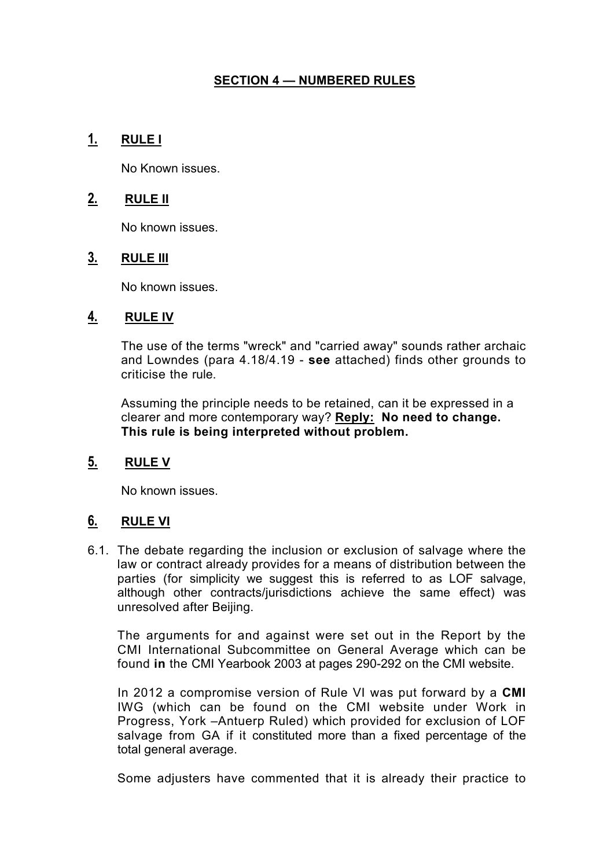# **SECTION 4 — NUMBERED RULES**

# **1. RULE I**

No Known issues.

### **2. RULE II**

No known issues.

# **3. RULE III**

No known issues.

#### **4. RULE IV**

The use of the terms "wreck" and "carried away" sounds rather archaic and Lowndes (para 4.18/4.19 - **see** attached) finds other grounds to criticise the rule.

Assuming the principle needs to be retained, can it be expressed in a clearer and more contemporary way? **Reply: No need to change. This rule is being interpreted without problem.**

# **5. RULE V**

No known issues.

# **6. RULE VI**

6.1. The debate regarding the inclusion or exclusion of salvage where the law or contract already provides for a means of distribution between the parties (for simplicity we suggest this is referred to as LOF salvage, although other contracts/jurisdictions achieve the same effect) was unresolved after Beijing.

The arguments for and against were set out in the Report by the CMI International Subcommittee on General Average which can be found **in** the CMI Yearbook 2003 at pages 290-292 on the CMI website.

In 2012 a compromise version of Rule VI was put forward by a **CMI**  IWG (which can be found on the CMI website under Work in Progress, York –Antuerp Ruled) which provided for exclusion of LOF salvage from GA if it constituted more than a fixed percentage of the total general average.

Some adjusters have commented that it is already their practice to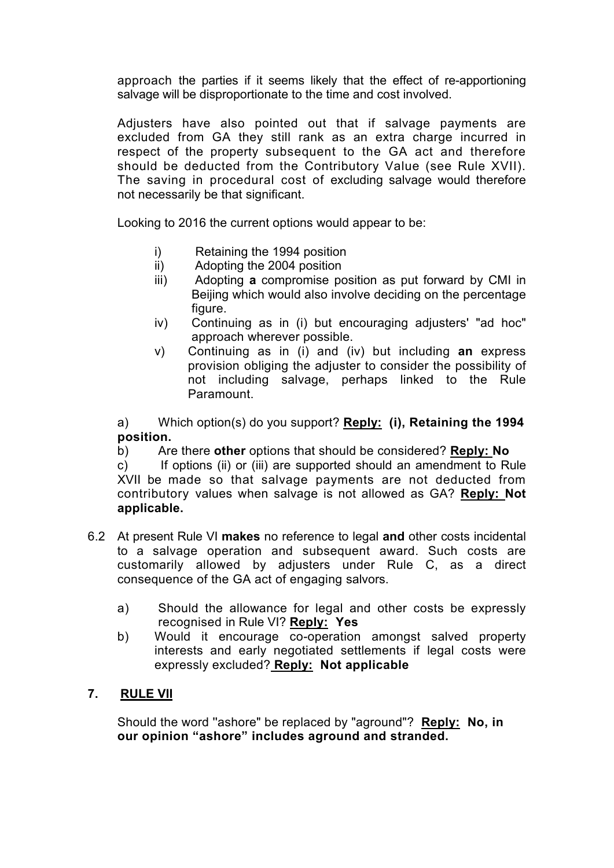approach the parties if it seems likely that the effect of re-apportioning salvage will be disproportionate to the time and cost involved.

Adjusters have also pointed out that if salvage payments are excluded from GA they still rank as an extra charge incurred in respect of the property subsequent to the GA act and therefore should be deducted from the Contributory Value (see Rule XVII). The saving in procedural cost of excluding salvage would therefore not necessarily be that significant.

Looking to 2016 the current options would appear to be:

- i) Retaining the 1994 position
- ii) Adopting the 2004 position
- iii) Adopting **a** compromise position as put forward by CMI in Beijing which would also involve deciding on the percentage figure.
- iv) Continuing as in (i) but encouraging adjusters' "ad hoc" approach wherever possible.
- v) Continuing as in (i) and (iv) but including **an** express provision obliging the adjuster to consider the possibility of not including salvage, perhaps linked to the Rule Paramount.

a) Which option(s) do you support? **Reply: (i), Retaining the 1994 position.**

b) Are there **other** options that should be considered? **Reply: No**

c) If options (ii) or (iii) are supported should an amendment to Rule XVII be made so that salvage payments are not deducted from contributory values when salvage is not allowed as GA? **Reply: Not applicable.**

- 6.2 At present Rule VI **makes** no reference to legal **and** other costs incidental to a salvage operation and subsequent award. Such costs are customarily allowed by adjusters under Rule C, as a direct consequence of the GA act of engaging salvors.
	- a) Should the allowance for legal and other costs be expressly recognised in Rule VI? **Reply: Yes**
	- b) Would it encourage co-operation amongst salved property interests and early negotiated settlements if legal costs were expressly excluded? **Reply: Not applicable**

# **7. RULE VII**

Should the word ''ashore" be replaced by "aground"? **Reply: No, in our opinion "ashore" includes aground and stranded.**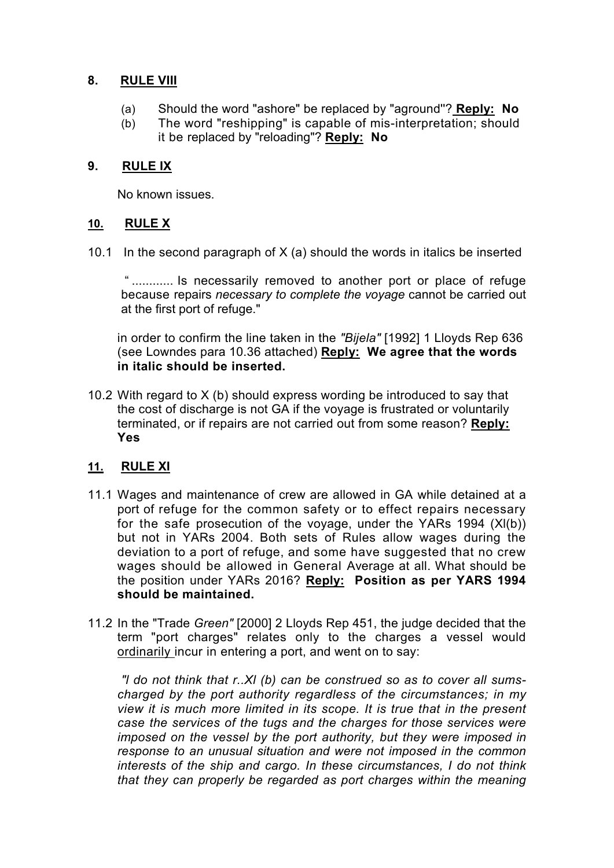### **8. RULE VIII**

- (a) Should the word "ashore" be replaced by "aground''? **Reply: No**
- (b) The word "reshipping" is capable of mis-interpretation; should it be replaced by "reloading"? **Reply: No**

# **9. RULE IX**

No known issues.

# **10. RULE X**

10.1 In the second paragraph of X (a) should the words in italics be inserted

" ............ Is necessarily removed to another port or place of refuge because repairs *necessary to complete the voyage* cannot be carried out at the first port of refuge."

in order to confirm the line taken in the *"Bijela"* [1992] 1 Lloyds Rep 636 (see Lowndes para 10.36 attached) **Reply: We agree that the words in italic should be inserted.**

10.2 With regard to X (b) should express wording be introduced to say that the cost of discharge is not GA if the voyage is frustrated or voluntarily terminated, or if repairs are not carried out from some reason? **Reply: Yes**

# **11. RULE XI**

- 11.1 Wages and maintenance of crew are allowed in GA while detained at a port of refuge for the common safety or to effect repairs necessary for the safe prosecution of the voyage, under the YARs 1994 (Xl(b)) but not in YARs 2004. Both sets of Rules allow wages during the deviation to a port of refuge, and some have suggested that no crew wages should be allowed in General Average at all. What should be the position under YARs 2016? **Reply: Position as per YARS 1994 should be maintained.**
- 11.2 In the "Trade *Green"* [2000] 2 Lloyds Rep 451, the judge decided that the term "port charges" relates only to the charges a vessel would ordinarily incur in entering a port, and went on to say:

*"l do not think that r..Xl (b) can be construed so as to cover all sumscharged by the port authority regardless of the circumstances; in my view it is much more limited in its scope. It is true that in the present case the services of the tugs and the charges for those services were imposed on the vessel by the port authority, but they were imposed in response to an unusual situation and were not imposed in the common interests of the ship and cargo. In these circumstances, I do not think that they can properly be regarded as port charges within the meaning*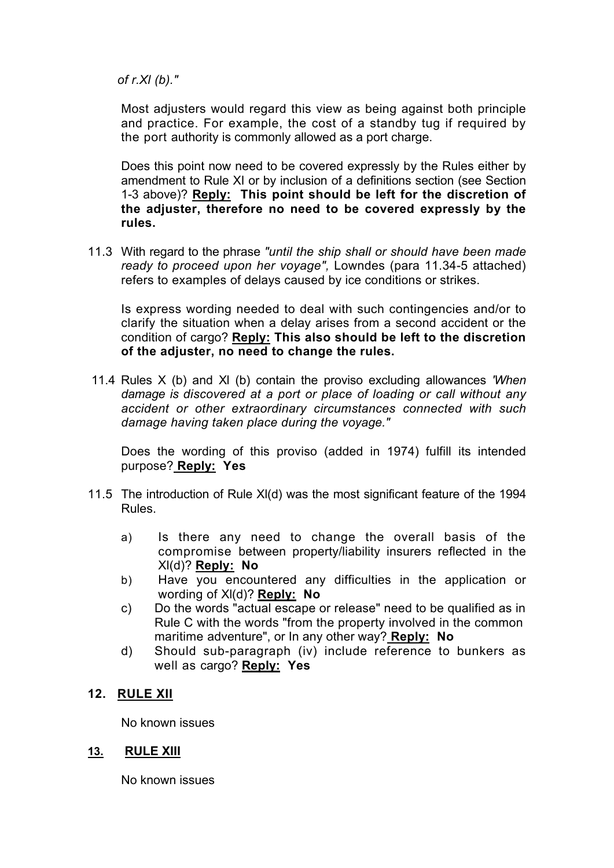*of r.Xl (b)."*

Most adjusters would regard this view as being against both principle and practice. For example, the cost of a standby tug if required by the port authority is commonly allowed as a port charge.

Does this point now need to be covered expressly by the Rules either by amendment to Rule XI or by inclusion of a definitions section (see Section 1-3 above)? **Reply: This point should be left for the discretion of the adjuster, therefore no need to be covered expressly by the rules.** 

11.3 With regard to the phrase *"until the ship shall or should have been made ready to proceed upon her voyage",* Lowndes (para 11.34-5 attached) refers to examples of delays caused by ice conditions or strikes.

Is express wording needed to deal with such contingencies and/or to clarify the situation when a delay arises from a second accident or the condition of cargo? **Reply: This also should be left to the discretion of the adjuster, no need to change the rules.** 

11.4 Rules X (b) and Xl (b) contain the proviso excluding allowances *'When damage is discovered at a port or place of loading or call without any accident or other extraordinary circumstances connected with such damage having taken place during the voyage."*

Does the wording of this proviso (added in 1974) fulfill its intended purpose? **Reply: Yes**

- 11.5 The introduction of Rule Xl(d) was the most significant feature of the 1994 Rules.
	- a) Is there any need to change the overall basis of the compromise between property/liability insurers reflected in the Xl(d)? **Reply: No**
	- b) Have you encountered any difficulties in the application or wording of Xl(d)? **Reply: No**
	- c) Do the words "actual escape or release" need to be qualified as in Rule C with the words "from the property involved in the common maritime adventure", or In any other way? **Reply: No**
	- d) Should sub-paragraph (iv) include reference to bunkers as well as cargo? **Reply: Yes**

# **12. RULE XII**

No known issues

#### **13. RULE XIII**

No known issues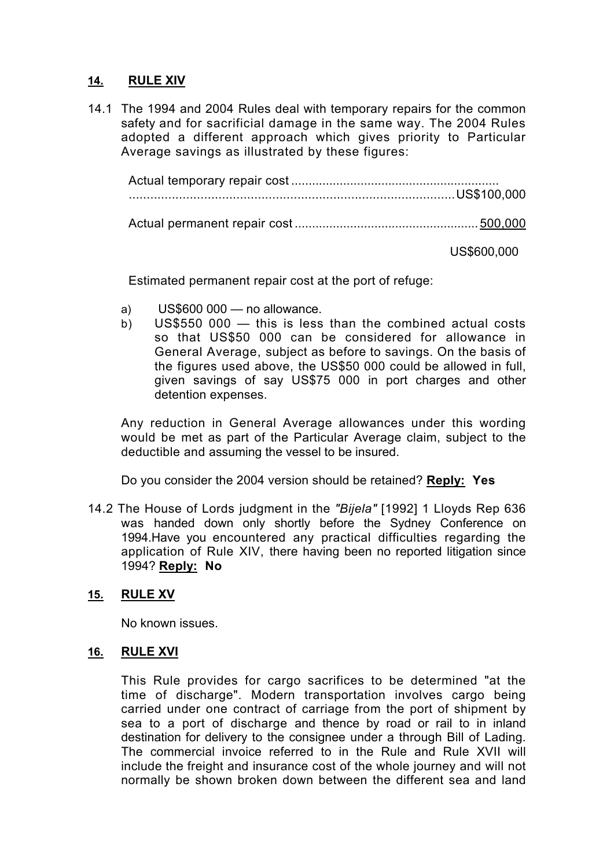# **14. RULE XIV**

14.1 The 1994 and 2004 Rules deal with temporary repairs for the common safety and for sacrificial damage in the same way. The 2004 Rules adopted a different approach which gives priority to Particular Average savings as illustrated by these figures:

US\$600,000

Estimated permanent repair cost at the port of refuge:

- a) US\$600 000 no allowance.
- b) US\$550 000 this is less than the combined actual costs so that US\$50 000 can be considered for allowance in General Average, subject as before to savings. On the basis of the figures used above, the US\$50 000 could be allowed in full, given savings of say US\$75 000 in port charges and other detention expenses.

Any reduction in General Average allowances under this wording would be met as part of the Particular Average claim, subject to the deductible and assuming the vessel to be insured.

Do you consider the 2004 version should be retained? **Reply: Yes**

14.2 The House of Lords judgment in the *"Bijela"* [1992] 1 Lloyds Rep 636 was handed down only shortly before the Sydney Conference on 1994.Have you encountered any practical difficulties regarding the application of Rule XIV, there having been no reported litigation since 1994? **Reply: No**

# **15. RULE XV**

No known issues.

#### **16. RULE XVI**

This Rule provides for cargo sacrifices to be determined "at the time of discharge". Modern transportation involves cargo being carried under one contract of carriage from the port of shipment by sea to a port of discharge and thence by road or rail to in inland destination for delivery to the consignee under a through Bill of Lading. The commercial invoice referred to in the Rule and Rule XVII will include the freight and insurance cost of the whole journey and will not normally be shown broken down between the different sea and land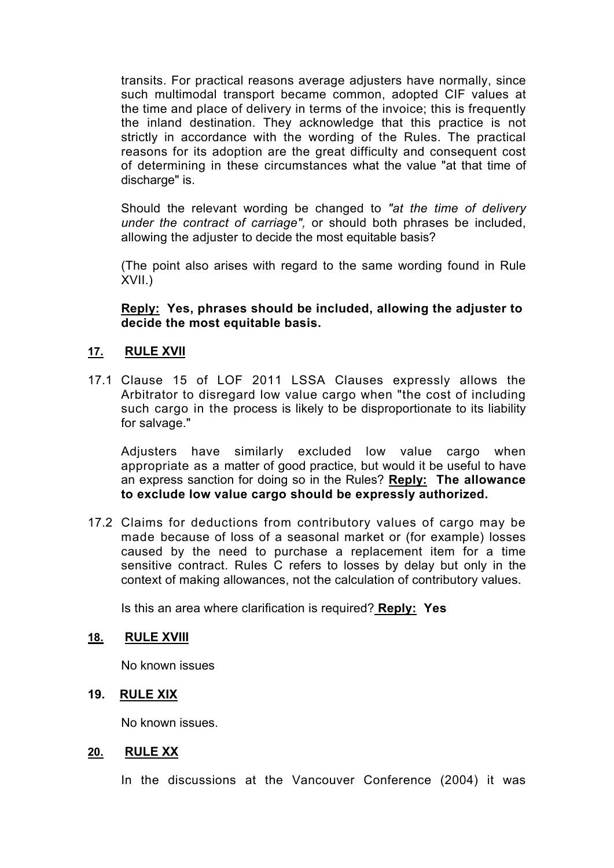transits. For practical reasons average adjusters have normally, since such multimodal transport became common, adopted CIF values at the time and place of delivery in terms of the invoice; this is frequently the inland destination. They acknowledge that this practice is not strictly in accordance with the wording of the Rules. The practical reasons for its adoption are the great difficulty and consequent cost of determining in these circumstances what the value "at that time of discharge" is.

Should the relevant wording be changed to *"at the time of delivery under the contract of carriage",* or should both phrases be included, allowing the adjuster to decide the most equitable basis?

(The point also arises with regard to the same wording found in Rule XVII.)

**Reply: Yes, phrases should be included, allowing the adjuster to decide the most equitable basis.**

# **17. RULE XVII**

17.1 Clause 15 of LOF 2011 LSSA Clauses expressly allows the Arbitrator to disregard low value cargo when "the cost of including such cargo in the process is likely to be disproportionate to its liability for salvage."

Adjusters have similarly excluded low value cargo when appropriate as a matter of good practice, but would it be useful to have an express sanction for doing so in the Rules? **Reply: The allowance to exclude low value cargo should be expressly authorized.** 

17.2 Claims for deductions from contributory values of cargo may be made because of loss of a seasonal market or (for example) losses caused by the need to purchase a replacement item for a time sensitive contract. Rules C refers to losses by delay but only in the context of making allowances, not the calculation of contributory values.

Is this an area where clarification is required? **Reply: Yes**

#### **18. RULE XVIII**

No known issues

#### **19. RULE XIX**

No known issues.

#### **20. RULE XX**

In the discussions at the Vancouver Conference (2004) it was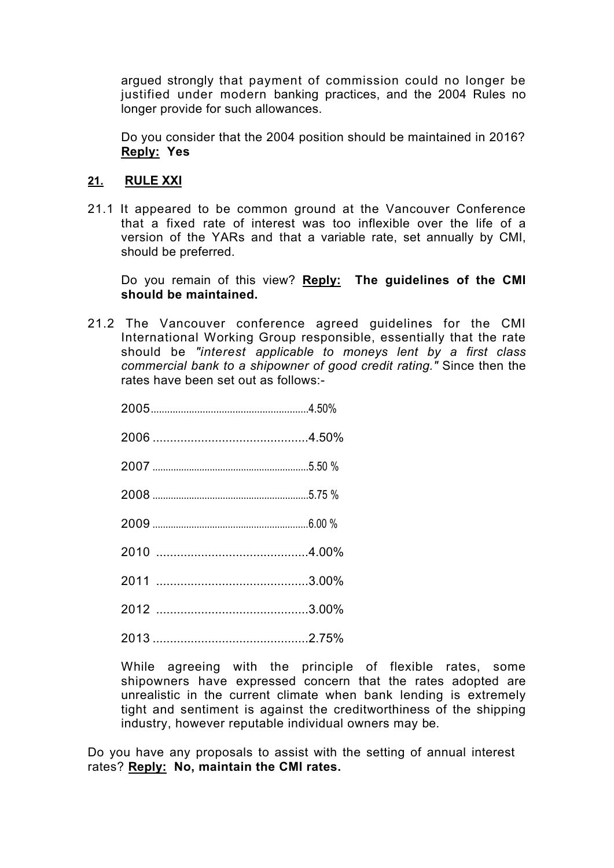argued strongly that payment of commission could no longer be justified under modern banking practices, and the 2004 Rules no longer provide for such allowances.

Do you consider that the 2004 position should be maintained in 2016? **Reply: Yes**

# **21. RULE XXI**

21.1 It appeared to be common ground at the Vancouver Conference that a fixed rate of interest was too inflexible over the life of a version of the YARs and that a variable rate, set annually by CMI, should be preferred.

Do you remain of this view? **Reply: The guidelines of the CMI should be maintained.** 

21.2 The Vancouver conference agreed guidelines for the CMI International Working Group responsible, essentially that the rate should be *"interest applicable to moneys lent by a first class commercial bank to a shipowner of good credit rating."* Since then the rates have been set out as follows:-

While agreeing with the principle of flexible rates, some shipowners have expressed concern that the rates adopted are unrealistic in the current climate when bank lending is extremely tight and sentiment is against the creditworthiness of the shipping industry, however reputable individual owners may be.

Do you have any proposals to assist with the setting of annual interest rates? **Reply: No, maintain the CMI rates.**